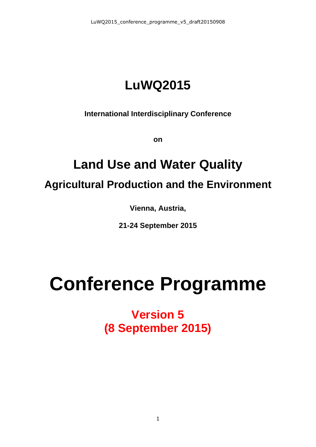## **LuWQ2015**

**International Interdisciplinary Conference** 

**on on on on** 

# **Land Use and Water Quality Agricultural Production and the Environment**

**Vienna, Austria,** 

**21-24 September 2015** 

# **Conference Programme**

**Version 5 (8 September 2015)**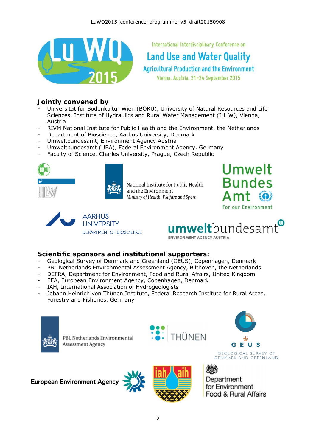

International Interdisciplinary Conference on

Land Use and Water Quality

Agricultural Production and the Environment Vienna, Austria, 21-24 September 2015

#### **Jointly convened by**

- Universität für Bodenkultur Wien (BOKU), University of Natural Resources and Life Sciences, Institute of Hydraulics and Rural Water Management (IHLW), Vienna, Austria
- RIVM National Institute for Public Health and the Environment, the Netherlands
- Department of Bioscience, Aarhus University, Denmark
- Umweltbundesamt, Environment Agency Austria
- Umweltbundesamt (UBA), Federal Environment Agency, Germany
- Faculty of Science, Charles University, Prague, Czech Republic





National Institute for Public Health and the Environment Ministry of Health, Welfare and Sport









#### **Scientific sponsors and institutional supporters:**

- Geological Survey of Denmark and Greenland (GEUS), Copenhagen, Denmark
- PBL Netherlands Environmental Assessment Agency, Bilthoven, the Netherlands
- DEFRA, Department for Environment, Food and Rural Affairs, United Kingdom
- EEA, European Environment Agency, Copenhagen, Denmark
- IAH, International Association of Hydrogeologists
- Johann Heinrich von Thünen Institute, Federal Research Institute for Rural Areas, Forestry and Fisheries, Germany



PBL Netherlands Environmental **Assessment Agency** 





GEOLOGICAL SURVEY OF DENMARK AND GREENLAND

**European Environment Agency** 



Department for Environment Food & Rural Affairs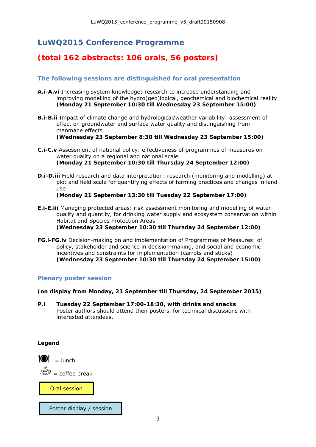#### **LuWQ2015 Conference Programme**

#### **(total 162 abstracts: 106 orals, 56 posters)**

#### **The following sessions are distinguished for oral presentation**

- **A.i-A.vi** Increasing system knowledge: research to increase understanding and improving modelling of the hydro(geo)logical, geochemical and biochemical reality  **(Monday 21 September 10:30 till Wednesday 23 September 15:00)**
- **B.i-B.ii** Impact of climate change and hydrological/weather variability: assessment of effect on groundwater and surface water quality and distinguishing from manmade effects  **(Wednesday 23 September 8:30 till Wednesday 23 September 15:00)**
- **C.i-C.v** Assessment of national policy: effectiveness of programmes of measures on water quality on a regional and national scale  **(Monday 21 September 10:30 till Thursday 24 September 12:00)**
- **D.i-D.iii** Field research and data interpretation: research (monitoring and modelling) at plot and field scale for quantifying effects of farming practices and changes in land use

**(Monday 21 September 13:30 till Tuesday 22 September 17:00)** 

- **E.i-E.iii** Managing protected areas: risk assessment monitoring and modelling of water quality and quantity, for drinking water supply and ecosystem conservation within Habitat and Species Protection Areas  **(Wednesday 23 September 10:30 till Thursday 24 September 12:00)**
- **FG.i-FG.iv** Decision-making on and implementation of Programmes of Measures: of policy, stakeholder and science in decision-making, and social and economic incentives and constraints for implementation (carrots and sticks)  **(Wednesday 23 September 10:30 till Thursday 24 September 15:00)**

#### **Plenary poster session**

**(on display from Monday, 21 September till Thursday, 24 September 2015)** 

**P.i Tuesday 22 September 17:00-18:30, with drinks and snacks**  Poster authors should attend their posters, for technical discussions with interested attendees.

**Legend** 

 $\sum_{n=1}^{\infty}$  $\mathscr{B}$  = coffee break Oral session Poster display / session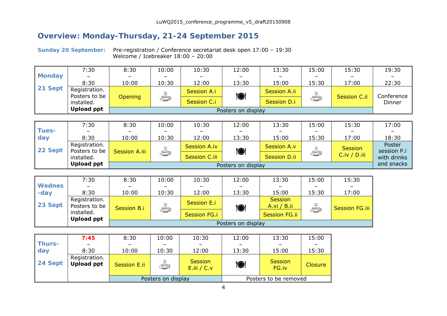### **Overview: Monday-Thursday, 21-24 September 2015**

**Sunday 20 September**: Pre-registration / Conference secretariat desk open 17:00 – 19:30 Welcome / Icebreaker 18:00 – 20:00

|               | 7:30                            | 8:30                 | 10:00 | 10:30                | 12:00              | 13:30               | 15:00 | 15:30                                | 19:30                     |
|---------------|---------------------------------|----------------------|-------|----------------------|--------------------|---------------------|-------|--------------------------------------|---------------------------|
| <b>Monday</b> |                                 |                      |       |                      |                    |                     |       |                                      |                           |
|               | 8:30                            | 10:00                | 10:30 | 12:00                | 13:30              | 15:00               | 15:30 | 17:00                                | 22:30                     |
| 21 Sept       | Registration.<br>Posters to be  | <b>Opening</b>       | Š     | <b>Session A.i</b>   | <b>101</b>         | <b>Session A.ii</b> | Š     | <b>Session C.ii</b>                  | Conference                |
|               | installed.                      |                      |       | <b>Session C.i</b>   |                    | <b>Session D.i</b>  |       |                                      | Dinner                    |
|               | <b>Upload ppt</b>               |                      |       |                      | Posters on display |                     |       |                                      |                           |
|               |                                 |                      |       |                      |                    |                     |       |                                      |                           |
|               | 7:30                            | 8:30                 | 10:00 | 10:30                | 12:00              | 13:30               | 15:00 | 15:30                                | 17:00                     |
| <b>Tues-</b>  |                                 |                      |       |                      |                    |                     |       |                                      |                           |
| day           | 8:30                            | 10:00                | 10:30 | 12:00                | 13:30              | 15:00               | 15:30 | 17:00                                | 18:30                     |
|               |                                 |                      |       |                      |                    |                     |       |                                      |                           |
|               | Registration.                   |                      |       | <b>Session A.iv</b>  |                    | Session A.v         |       |                                      | Poster                    |
| 22 Sept       | Posters to be                   | <b>Session A.iii</b> | Š     |                      | <b>101</b>         |                     | Š     | <b>Session</b><br>$C$ .iv / $D$ .iii | session P.i               |
|               | installed.<br><b>Upload ppt</b> |                      |       | <b>Session C.iii</b> | Posters on display | <b>Session D.ii</b> |       |                                      | with drinks<br>and snacks |

|                | 7:30                            | 8:30                | 10:00 | 10:30                    | 12:00      | 13:30                         | 15:00 | 15:30                 |
|----------------|---------------------------------|---------------------|-------|--------------------------|------------|-------------------------------|-------|-----------------------|
| <b>Wednes</b>  |                                 |                     |       | $\overline{\phantom{0}}$ |            |                               |       |                       |
| -day           | 8:30                            | 10:00               | 10:30 | 12:00                    | 13:30      | 15:00                         | 15:30 | 17:00                 |
| <b>23 Sept</b> | Registration.<br>Posters to be  | <b>Session B.i.</b> | Š2    | <b>Session E.i</b>       | <b>101</b> | <b>Session</b><br>A.vi / B.ii | Š     | <b>Session FG.iii</b> |
|                | installed.<br><b>Upload ppt</b> |                     |       | <b>Session FG.i</b>      |            | Session FG.ii                 |       |                       |
|                |                                 | Posters on display  |       |                          |            |                               |       |                       |

|         | 7:45                               | 8:30               | 10:00 | 10:30                         | 12:00      | 13:30                   | 15:00          |
|---------|------------------------------------|--------------------|-------|-------------------------------|------------|-------------------------|----------------|
| Thurs-  |                                    |                    |       |                               |            |                         |                |
| day     | 8:30                               | 10:00              | 10:30 | 12:00                         | 13:30      | 15:00                   | 15:30          |
| 24 Sept | Registration.<br><b>Upload ppt</b> | Session E.ii       | S     | <b>Session</b><br>E.iii / C.v | <b>101</b> | <b>Session</b><br>FG.iv | <b>Closure</b> |
|         |                                    | Posters on display |       |                               |            | Posters to be removed   |                |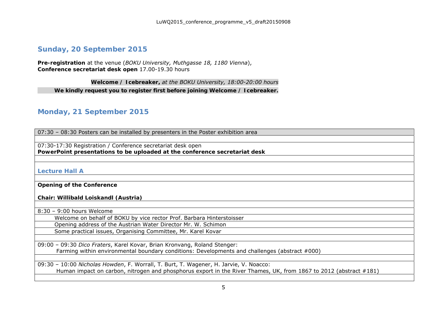#### **Sunday, 20 September 2015**

**Pre-registration** at the venue (*BOKU University, Muthgasse 18, 1180 Vienna*), **Conference secretariat desk open** 17.00-19.30 hours

 *Welcome / Icebreaker, at the BOKU University, 18:00-20:00 hours We kindly request you to register first before joining Welcome / Icebreaker.* 

#### **Monday, 21 September 2015**

07:30 – 08:30 Posters can be installed by presenters in the Poster exhibition area

07:30-17:30 Registration / Conference secretariat desk open **PowerPoint presentations to be uploaded at the conference secretariat desk** 

**Lecture Hall A** 

**Opening of the Conference**

*Chair: Willibald Loiskandl (Austria)* 

8:30 – 9:00 hours Welcome

Welcome on behalf of BOKU by vice rector Prof. Barbara Hinterstoisser

Opening address of the Austrian Water Director Mr. W. Schimon

Some practical issues, Organising Committee, Mr. Karel Kovar

09:00 – 09:30 *Dico Fraters*, Karel Kovar, Brian Kronvang, Roland Stenger: Farming within environmental boundary conditions: Developments and challenges (abstract #000)

09:30 – 10:00 *Nicholas Howden*, F. Worrall, T. Burt, T. Wagener, H. Jarvie, V. Noacco: Human impact on carbon, nitrogen and phosphorus export in the River Thames, UK, from 1867 to 2012 (abstract #181)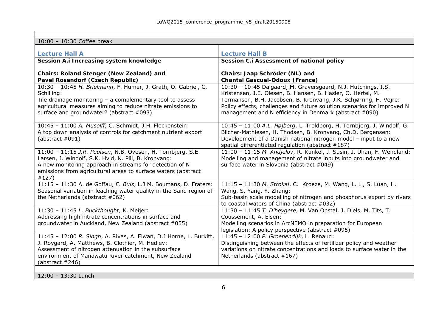| 10:00 - 10:30 Coffee break                                                                                                                                                                                                                               |                                                                                                                                                                                                                                                                 |  |  |  |
|----------------------------------------------------------------------------------------------------------------------------------------------------------------------------------------------------------------------------------------------------------|-----------------------------------------------------------------------------------------------------------------------------------------------------------------------------------------------------------------------------------------------------------------|--|--|--|
| <b>Lecture Hall A</b>                                                                                                                                                                                                                                    | <b>Lecture Hall B</b>                                                                                                                                                                                                                                           |  |  |  |
| Session A.i Increasing system knowledge                                                                                                                                                                                                                  | Session C.i Assessment of national policy                                                                                                                                                                                                                       |  |  |  |
|                                                                                                                                                                                                                                                          |                                                                                                                                                                                                                                                                 |  |  |  |
| Chairs: Roland Stenger (New Zealand) and                                                                                                                                                                                                                 | Chairs: Jaap Schröder (NL) and                                                                                                                                                                                                                                  |  |  |  |
| <b>Pavel Rosendorf (Czech Republic)</b>                                                                                                                                                                                                                  | <b>Chantal Gascuel-Odoux (France)</b>                                                                                                                                                                                                                           |  |  |  |
| 10:30 - 10:45 H. Brielmann, F. Humer, J. Grath, O. Gabriel, C.<br>Schilling:                                                                                                                                                                             | 10:30 - 10:45 Dalgaard, M. Graversgaard, N.J. Hutchings, I.S.<br>Kristensen, J.E. Olesen, B. Hansen, B. Hasler, O. Hertel, M.                                                                                                                                   |  |  |  |
| Tile drainage monitoring $-$ a complementary tool to assess                                                                                                                                                                                              | Termansen, B.H. Jacobsen, B. Kronvang, J.K. Schjørring, H. Vejre:                                                                                                                                                                                               |  |  |  |
| agricultural measures aiming to reduce nitrate emissions to<br>surface and groundwater? (abstract #093)                                                                                                                                                  | Policy effects, challenges and future solution scenarios for improved N<br>management and N efficiency in Denmark (abstract #090)                                                                                                                               |  |  |  |
| 10:45 - 11:00 A. Musolff, C. Schmidt, J.H. Fleckenstein:<br>A top down analysis of controls for catchment nutrient export<br>(abstract $#091$ )                                                                                                          | 10:45 - 11:00 A.L. Højberg, L. Troldborg, H. Tornbjerg, J. Windolf, G.<br>Blicher-Mathiesen, H. Thodsen, B. Kronvang, Ch.D. Børgensen:<br>Development of a Danish national nitrogen model - input to a new<br>spatial differentiated regulation (abstract #187) |  |  |  |
| 11:00 - 11:15 J.R. Poulsen, N.B. Ovesen, H. Tornbjerg, S.E.<br>Larsen, J. Windolf, S.K. Hvid, K. Piil, B. Kronvang:<br>A new monitoring approach in streams for detection of N<br>emissions from agricultural areas to surface waters (abstract<br>#127) | 11:00 - 11:15 M. Andjelov, R. Kunkel, J. Susin, J. Uhan, F. Wendland:<br>Modelling and management of nitrate inputs into groundwater and<br>surface water in Slovenia (abstract #049)                                                                           |  |  |  |
| 11:15 - 11:30 A. de Goffau, E. Buis, L.J.M. Boumans, D. Fraters:                                                                                                                                                                                         | 11:15 - 11:30 M. Strokal, C. Kroeze, M. Wang, L. Li, S. Luan, H.                                                                                                                                                                                                |  |  |  |
| Seasonal variation in leaching water quality in the Sand region of                                                                                                                                                                                       | Wang, S. Yang, Y. Zhang:                                                                                                                                                                                                                                        |  |  |  |
| the Netherlands (abstract #062)                                                                                                                                                                                                                          | Sub-basin scale modelling of nitrogen and phosphorus export by rivers<br>to coastal waters of China (abstract #032)                                                                                                                                             |  |  |  |
| 11:30 - 11:45 L. Buckthought, K. Meijer:                                                                                                                                                                                                                 | 11:30 - 11:45 T. D'heygere, M. Van Opstal, J. Diels, M. Tits, T.                                                                                                                                                                                                |  |  |  |
| Addressing high nitrate concentrations in surface and                                                                                                                                                                                                    | Coussement, A. Elsen:                                                                                                                                                                                                                                           |  |  |  |
| groundwater in Auckland, New Zealand (abstract #055)                                                                                                                                                                                                     | Modelling scenarios in ArcNEMO in preparation for European<br>legislation: A policy perspective (abstract #095)                                                                                                                                                 |  |  |  |
| 11:45 - 12:00 R. Singh, A. Rivas, A. Elwan, D.J Horne, L. Burkitt,                                                                                                                                                                                       | 11:45 - 12:00 P. Groenendijk, L. Renaud:                                                                                                                                                                                                                        |  |  |  |
| J. Roygard, A. Matthews, B. Clothier, M. Hedley:                                                                                                                                                                                                         | Distinguishing between the effects of fertilizer policy and weather                                                                                                                                                                                             |  |  |  |
| Assessment of nitrogen attenuation in the subsurface                                                                                                                                                                                                     | variations on nitrate concentrations and loads to surface water in the                                                                                                                                                                                          |  |  |  |
| environment of Manawatu River catchment, New Zealand                                                                                                                                                                                                     | Netherlands (abstract #167)                                                                                                                                                                                                                                     |  |  |  |
| (abstract $#246$ )                                                                                                                                                                                                                                       |                                                                                                                                                                                                                                                                 |  |  |  |
|                                                                                                                                                                                                                                                          |                                                                                                                                                                                                                                                                 |  |  |  |
| $12:00 - 13:30$ Lunch                                                                                                                                                                                                                                    |                                                                                                                                                                                                                                                                 |  |  |  |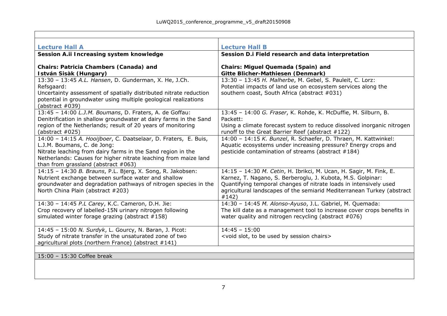| <b>Lecture Hall A</b>                                                                                                                                                                                                                                                      | <b>Lecture Hall B</b>                                                                                                                                                                                                                                                                     |
|----------------------------------------------------------------------------------------------------------------------------------------------------------------------------------------------------------------------------------------------------------------------------|-------------------------------------------------------------------------------------------------------------------------------------------------------------------------------------------------------------------------------------------------------------------------------------------|
| Session A.ii Increasing system knowledge                                                                                                                                                                                                                                   | Session D.i Field research and data interpretation                                                                                                                                                                                                                                        |
| Chairs: Patricia Chambers (Canada) and<br>István Sisàk (Hungary)                                                                                                                                                                                                           | Chairs: Miguel Quemada (Spain) and<br>Gitte Blicher-Mathiesen (Denmark)                                                                                                                                                                                                                   |
| 13:30 - 13:45 A.L. Hansen, D. Gunderman, X. He, J.Ch.<br>Refsgaard:<br>Uncertainty assessment of spatially distributed nitrate reduction<br>potential in groundwater using multiple geological realizations<br>(abstract $#039$ )                                          | 13:30 - 13:45 H. Malherbe, M. Gebel, S. Pauleit, C. Lorz:<br>Potential impacts of land use on ecosystem services along the<br>southern coast, South Africa (abstract #031)                                                                                                                |
| 13:45 - 14:00 L.J.M. Boumans, D. Fraters, A. de Goffau:<br>Denitrification in shallow groundwater at dairy farms in the Sand<br>region of the Netherlands; result of 20 years of monitoring<br>(abstract $#025$ )                                                          | 13:45 - 14:00 G. Fraser, K. Rohde, K. McDuffie, M. Silburn, B.<br>Packett:<br>Using a climate forecast system to reduce dissolved inorganic nitrogen<br>runoff to the Great Barrier Reef (abstract #122)                                                                                  |
| 14:00 - 14:15 A. Hooijboer, C. Daatselaar, D. Fraters, E. Buis,<br>L.J.M. Boumans, C. de Jong:<br>Nitrate leaching from dairy farms in the Sand region in the<br>Netherlands: Causes for higher nitrate leaching from maize land<br>than from grassland (abstract $#063$ ) | 14:00 - 14:15 K. Bunzel, R. Schaefer, D. Thraen, M. Kattwinkel:<br>Aquatic ecosystems under increasing pressure? Energy crops and<br>pesticide contamination of streams (abstract #184)                                                                                                   |
| 14:15 - 14:30 B. Brauns, P.L. Bjerg, X. Song, R. Jakobsen:<br>Nutrient exchange between surface water and shallow<br>groundwater and degradation pathways of nitrogen species in the<br>North China Plain (abstract #203)                                                  | 14:15 - 14:30 M. Cetin, H. Ibrikci, M. Ucan, H. Sagir, M. Fink, E.<br>Karnez, T. Nagano, S. Berberoglu, J. Kubota, M.S. Golpinar:<br>Quantifying temporal changes of nitrate loads in intensively used<br>agricultural landscapes of the semiarid Mediterranean Turkey (abstract<br>#142) |
| 14:30 - 14:45 P.L Carey, K.C. Cameron, D.H. Jie:<br>Crop recovery of labelled-15N urinary nitrogen following<br>simulated winter forage grazing (abstract #158)                                                                                                            | 14:30 - 14:45 M. Alonso-Ayuso, J.L. Gabriel, M. Quemada:<br>The kill date as a management tool to increase cover crops benefits in<br>water quality and nitrogen recycling (abstract #076)                                                                                                |
| 14:45 - 15:00 N. Surdyk, L. Gourcy, N. Baran, J. Picot:<br>Study of nitrate transfer in the unsaturated zone of two<br>agricultural plots (northern France) (abstract #141)                                                                                                | $14:45 - 15:00$<br><void be="" by="" chairs="" session="" slot,="" to="" used=""></void>                                                                                                                                                                                                  |
|                                                                                                                                                                                                                                                                            |                                                                                                                                                                                                                                                                                           |
| 15:00 - 15:30 Coffee break                                                                                                                                                                                                                                                 |                                                                                                                                                                                                                                                                                           |
|                                                                                                                                                                                                                                                                            |                                                                                                                                                                                                                                                                                           |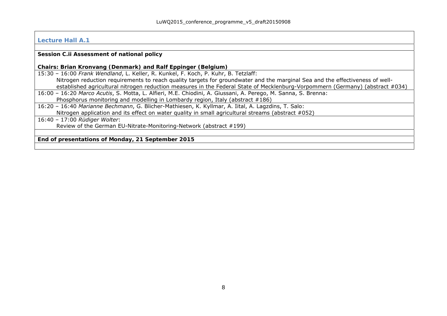#### **Lecture Hall A.1**

#### **Session C.ii Assessment of national policy**

#### *Chairs: Brian Kronvang (Denmark) and Ralf Eppinger (Belgium)*

15:30 – 16:00 *Frank Wendland*, L. Keller, R. Kunkel, F. Koch, P. Kuhr, B. Tetzlaff: Nitrogen reduction requirements to reach quality targets for groundwater and the marginal Sea and the effectiveness of wellestablished agricultural nitrogen reduction measures in the Federal State of Mecklenburg-Vorpommern (Germany) (abstract #034)

16:00 – 16:20 *Marco Acutis*, S. Motta, L. Alfieri, M.E. Chiodini, A. Giussani, A. Perego, M. Sanna, S. Brenna: Phosphorus monitoring and modelling in Lombardy region, Italy (abstract #186)

16:20 – 16:40 *Marianne Bechmann*, G. Blicher-Mathiesen, K. Kyllmar, A. Iital, A. Lagzdins, T. Salo:

Nitrogen application and its effect on water quality in small agricultural streams (abstract  $\#052$ )

16:40 – 17:00 *Rüdiger Wolter*:

Review of the German EU-Nitrate-Monitoring-Network (abstract #199)

**End of presentations of Monday, 21 September 2015**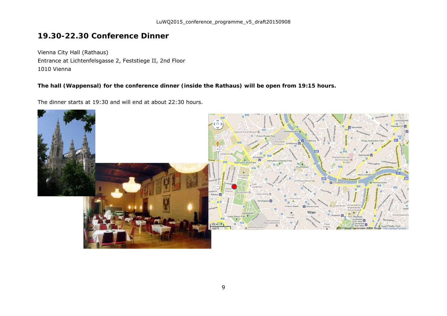#### **19.30-22.30 Conference Dinner**

Vienna City Hall (Rathaus) Entrance at Lichtenfelsgasse 2, Feststiege II, 2nd Floor 1010 Vienna

**The hall (Wappensal) for the conference dinner (inside the Rathaus) will be open from 19:15 hours.** 

The dinner starts at 19:30 and will end at about 22:30 hours.

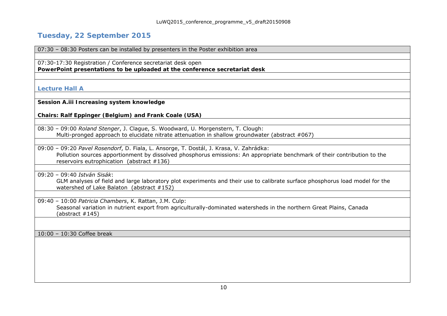#### **Tuesday, 22 September 2015**

07:30 – 08:30 Posters can be installed by presenters in the Poster exhibition area

07:30-17:30 Registration / Conference secretariat desk open **PowerPoint presentations to be uploaded at the conference secretariat desk** 

**Lecture Hall A** 

**Session A.iii Increasing system knowledge** 

*Chairs: Ralf Eppinger (Belgium) and Frank Coale (USA)* 

08:30 – 09:00 *Roland Stenger*, J. Clague, S. Woodward, U. Morgenstern, T. Clough: Multi-pronged approach to elucidate nitrate attenuation in shallow groundwater (abstract #067)

09:00 – 09:20 *Pavel Rosendorf*, D. Fiala, L. Ansorge, T. Dostál, J. Krasa, V. Zahrádka: Pollution sources apportionment by dissolved phosphorus emissions: An appropriate benchmark of their contribution to the reservoirs eutrophication (abstract #136)

09:20 – 09:40 *István Sisák*:

GLM analyses of field and large laboratory plot experiments and their use to calibrate surface phosphorus load model for the watershed of Lake Balaton (abstract #152)

09:40 – 10:00 *Patricia Chambers*, K. Rattan, J.M. Culp: Seasonal variation in nutrient export from agriculturally-dominated watersheds in the northern Great Plains, Canada (abstract #145)

10:00 – 10:30 Coffee break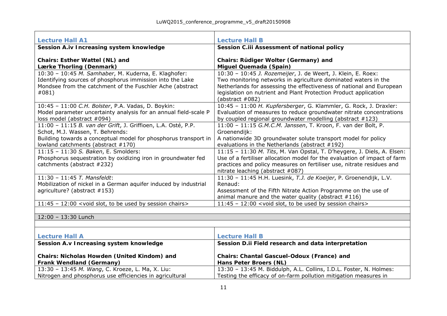| <b>Lecture Hall A1</b>                                                              | <b>Lecture Hall B</b>                                                               |
|-------------------------------------------------------------------------------------|-------------------------------------------------------------------------------------|
| Session A.iv Increasing system knowledge                                            | Session C.iii Assessment of national policy                                         |
| Chairs: Esther Wattel (NL) and                                                      | Chairs: Rüdiger Wolter (Germany) and                                                |
| Lærke Thorling (Denmark)                                                            |                                                                                     |
|                                                                                     | <b>Miguel Quemada (Spain)</b>                                                       |
| 10:30 - 10:45 M. Samhaber, M. Kuderna, E. Klaghofer:                                | 10:30 - 10:45 J. Rozemeijer, J. de Weert, J. Klein, E. Roex:                        |
| Identifying sources of phosphorus immission into the Lake                           | Two monitoring networks in agriculture dominated waters in the                      |
| Mondsee from the catchment of the Fuschler Ache (abstract                           | Netherlands for assessing the effectiveness of national and European                |
| #081)                                                                               | legislation on nutrient and Plant Protection Product application                    |
|                                                                                     | (abstract #082)                                                                     |
| 10:45 - 11:00 C.H. Bolster, P.A. Vadas, D. Boykin:                                  | 10:45 - 11:00 H. Kupfersberger, G. Klammler, G. Rock, J. Draxler:                   |
| Model parameter uncertainty analysis for an annual field-scale P                    | Evaluation of measures to reduce groundwater nitrate concentrations                 |
| loss model (abstract #094)                                                          | by coupled regional groundwater modelling (abstract #123)                           |
| 11:00 - 11:15 B. van der Grift, J. Griffioen, L.A. Osté, P.P.                       | 11:00 - 11:15 G.M.C.M. Janssen, T. Kroon, F. van der Bolt, P.                       |
| Schot, M.J. Wassen, T. Behrends:                                                    | Groenendijk:                                                                        |
| Building towards a conceptual model for phosphorus transport in                     | A nationwide 3D groundwater solute transport model for policy                       |
| lowland catchments (abstract #170)                                                  | evaluations in the Netherlands (abstract #192)                                      |
| 11:15 - 11:30 S. Baken, E. Smolders:                                                | 11:15 - 11:30 M. Tits, M. Van Opstal, T. D'heygere, J. Diels, A. Elsen:             |
| Phosphorus sequestration by oxidizing iron in groundwater fed                       | Use of a fertiliser allocation model for the evaluation of impact of farm           |
| catchments (abstract #232)                                                          | practices and policy measures on fertiliser use, nitrate residues and               |
|                                                                                     | nitrate leaching (abstract #087)                                                    |
| $11:30 - 11:45$ T. Mansfeldt:                                                       | 11:30 - 11:45 H.H. Luesink, T.J. de Koeijer, P. Groenendijk, L.V.                   |
| Mobilization of nickel in a German aquifer induced by industrial                    | Renaud:                                                                             |
| agriculture? (abstract #153)                                                        | Assessment of the Fifth Nitrate Action Programme on the use of                      |
|                                                                                     | animal manure and the water quality (abstract $#116$ )                              |
| 11:45 - 12:00 <void be="" by="" chairs="" session="" slot,="" to="" used=""></void> | 11:45 - 12:00 <void be="" by="" chairs="" session="" slot,="" to="" used=""></void> |
|                                                                                     |                                                                                     |

12:00 – 13:30 Lunch

| <b>Lecture Hall A</b>                                    | <b>Lecture Hall B</b>                                              |
|----------------------------------------------------------|--------------------------------------------------------------------|
| Session A.v Increasing system knowledge                  | Session D.ii Field research and data interpretation                |
| <b>Chairs: Nicholas Howden (United Kindom) and</b>       | Chairs: Chantal Gascuel-Odoux (France) and                         |
| <b>Frank Wendland (Germany)</b>                          | Hans Peter Broers (NL)                                             |
| 13:30 - 13:45 M. Wang, C. Kroeze, L. Ma, X. Liu:         | 13:30 - 13:45 M. Biddulph, A.L. Collins, I.D.L. Foster, N. Holmes: |
| Nitrogen and phosphorus use efficiencies in agricultural | Testing the efficacy of on-farm pollution mitigation measures in   |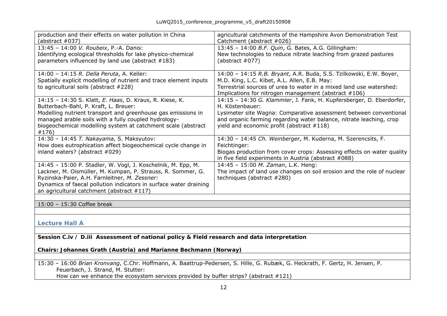| production and their effects on water pollution in China<br>(abstract #037)                                                                                                                   | agricultural catchments of the Hampshire Avon Demonstration Test<br>Catchment (abstract #026)                                                                                                                                                     |
|-----------------------------------------------------------------------------------------------------------------------------------------------------------------------------------------------|---------------------------------------------------------------------------------------------------------------------------------------------------------------------------------------------------------------------------------------------------|
| 13:45 - 14:00 V. Roubeix, P.-A. Danis:                                                                                                                                                        | 13:45 - 14:00 B.F. Quin, G. Bates, A.G. Gillingham:                                                                                                                                                                                               |
| Identifying ecological thresholds for lake physico-chemical<br>parameters influenced by land use (abstract #183)                                                                              | New technologies to reduce nitrate leaching from grazed pastures<br>(abstract $#077$ )                                                                                                                                                            |
| 14:00 - 14:15 R. Della Peruta, A. Keller:<br>Spatially explicit modelling of nutrient and trace element inputs<br>to agricultural soils (abstract $#228$ )                                    | 14:00 - 14:15 R.B. Bryant, A.R. Buda, S.S. Tzilkowski, E.W. Boyer,<br>M.D. King, L.C. Kibet, A.L. Allen, E.B. May:<br>Terrestrial sources of urea to water in a mixed land use watershed:<br>Implications for nitrogen management (abstract #106) |
| 14:15 - 14:30 S. Klatt, E. Haas, D. Kraus, R. Kiese, K.<br>Butterbach-Bahl, P. Kraft, L. Breuer:                                                                                              | 14:15 - 14:30 G. Klammler, J. Fank, H. Kupfersberger, D. Eberdorfer,<br>H. Köstenbauer:                                                                                                                                                           |
| Modelling nutrient transport and greenhouse gas emissions in<br>managed arable soils with a fully coupled hydrology-<br>biogeochemical modelling system at catchment scale (abstract<br>#176) | Lysimeter site Wagna: Comparative assessment between conventional<br>and organic farming regarding water balance, nitrate leaching, crop<br>yield and economic profit (abstract #118)                                                             |
| 14:30 - 14:45 T. Nakayama, S. Maksyutov:                                                                                                                                                      | 14:30 - 14:45 Ch. Weinberger, M. Kuderna, M. Szerencsits, F.                                                                                                                                                                                      |
| How does eutrophication affect biogeochemical cycle change in                                                                                                                                 | Feichtinger:                                                                                                                                                                                                                                      |
| inland waters? (abstract #029)                                                                                                                                                                | Biogas production from cover crops: Assessing effects on water quality<br>in five field experiments in Austria (abstract #088)                                                                                                                    |
| 14:45 - 15:00 P. Stadler, W. Vogl, J. Koschelnik, M. Epp, M.                                                                                                                                  | 14:45 - 15:00 M. Zaman, L.K. Heng:                                                                                                                                                                                                                |
| Lackner, M. Oismüller, M. Kumpan, P. Strauss, R. Sommer, G.<br>Ryzinska-Paier, A.H. Farnleitner, M. Zessner:                                                                                  | The impact of land use changes on soil erosion and the role of nuclear<br>techniques (abstract #280)                                                                                                                                              |
| Dynamics of faecal pollution indicators in surface water draining                                                                                                                             |                                                                                                                                                                                                                                                   |
| an agricultural catchment (abstract #117)                                                                                                                                                     |                                                                                                                                                                                                                                                   |
|                                                                                                                                                                                               |                                                                                                                                                                                                                                                   |
| 15:00 - 15:30 Coffee break                                                                                                                                                                    |                                                                                                                                                                                                                                                   |
|                                                                                                                                                                                               |                                                                                                                                                                                                                                                   |

**Lecture Hall A** 

**Session C.iv / D.iii Assessment of national policy & Field research and data interpretation** 

*Chairs: Johannes Grath (Austria) and Marianne Bechmann (Norway)*

15:30 – 16:00 *Brian Kronvang*, C.Chr. Hoffmann, A. Baattrup-Pedersen, S. Hille, G. Rubæk, G. Heckrath, F. Gertz, H. Jensen, P. Feuerbach, J. Strand, M. Stutter: How can we enhance the ecosystem services provided by buffer strips? (abstract #121)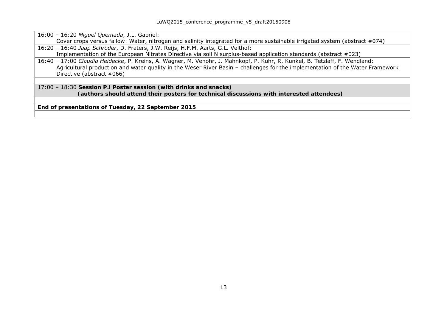| 16:00 - 16:20 Miguel Quemada, J.L. Gabriel:                                                                                                                                                                                                                                               |
|-------------------------------------------------------------------------------------------------------------------------------------------------------------------------------------------------------------------------------------------------------------------------------------------|
| Cover crops versus fallow: Water, nitrogen and salinity integrated for a more sustainable irrigated system (abstract #074)                                                                                                                                                                |
| 16:20 - 16:40 Jaap Schröder, D. Fraters, J.W. Reijs, H.F.M. Aarts, G.L. Velthof:                                                                                                                                                                                                          |
| Implementation of the European Nitrates Directive via soil N surplus-based application standards (abstract #023)                                                                                                                                                                          |
| 16:40 - 17:00 Claudia Heidecke, P. Kreins, A. Wagner, M. Venohr, J. Mahnkopf, P. Kuhr, R. Kunkel, B. Tetzlaff, F. Wendland:<br>Agricultural production and water quality in the Weser River Basin - challenges for the implementation of the Water Framework<br>Directive (abstract #066) |
|                                                                                                                                                                                                                                                                                           |
| 17:00 - 18:30 Session P.i Poster session (with drinks and snacks)                                                                                                                                                                                                                         |
| (authors should attend their posters for technical discussions with interested attendees)                                                                                                                                                                                                 |
|                                                                                                                                                                                                                                                                                           |
| End of presentations of Tuesday, 22 September 2015                                                                                                                                                                                                                                        |
|                                                                                                                                                                                                                                                                                           |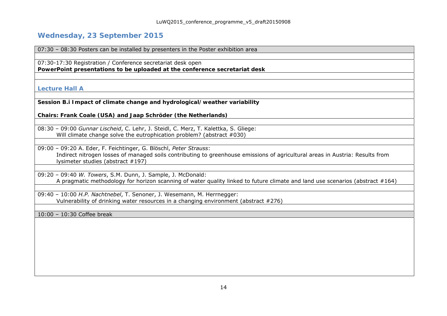#### **Wednesday, 23 September 2015**

07:30 – 08:30 Posters can be installed by presenters in the Poster exhibition area

07:30-17:30 Registration / Conference secretariat desk open **PowerPoint presentations to be uploaded at the conference secretariat desk** 

**Lecture Hall A** 

**Session B.i Impact of climate change and hydrological/weather variability** 

*Chairs: Frank Coale (USA) and Jaap Schröder (the Netherlands)* 

08:30 – 09:00 *Gunnar Lischeid*, C. Lehr, J. Steidl, C. Merz, T. Kalettka, S. Gliege: Will climate change solve the eutrophication problem? (abstract #030)

09:00 – 09:20 A. Eder, F. Feichtinger, G. Blöschl, *Peter Strauss*: Indirect nitrogen losses of managed soils contributing to greenhouse emissions of agricultural areas in Austria: Results from lysimeter studies (abstract #197)

09:20 – 09:40 *W. Towers*, S.M. Dunn, J. Sample, J. McDonald: A pragmatic methodology for horizon scanning of water quality linked to future climate and land use scenarios (abstract #164)

09:40 – 10:00 *H.P. Nachtnebel*, T. Senoner, J. Wesemann, M. Herrnegger: Vulnerability of drinking water resources in a changing environment (abstract #276)

10:00 – 10:30 Coffee break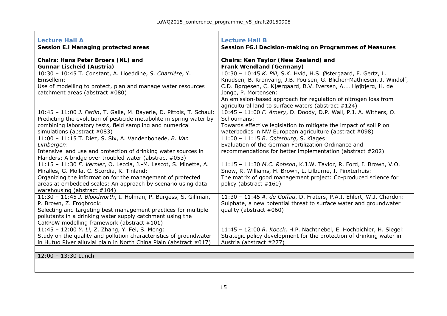| <b>Lecture Hall A</b>                                                                                                                                                     | <b>Lecture Hall B</b>                                                                                                                                                                                                                                                                                                                                         |
|---------------------------------------------------------------------------------------------------------------------------------------------------------------------------|---------------------------------------------------------------------------------------------------------------------------------------------------------------------------------------------------------------------------------------------------------------------------------------------------------------------------------------------------------------|
| <b>Session E.i Managing protected areas</b>                                                                                                                               | Session FG.i Decision-making on Programmes of Measures                                                                                                                                                                                                                                                                                                        |
|                                                                                                                                                                           |                                                                                                                                                                                                                                                                                                                                                               |
| <b>Chairs: Hans Peter Broers (NL) and</b>                                                                                                                                 | Chairs: Ken Taylor (New Zealand) and                                                                                                                                                                                                                                                                                                                          |
| <b>Gunnar Lischeid (Austria)</b>                                                                                                                                          | <b>Frank Wendland (Germany)</b>                                                                                                                                                                                                                                                                                                                               |
| 10:30 - 10:45 T. Constant, A. Lioeddine, S. Charrière, Y.<br>Emsellem:<br>Use of modelling to protect, plan and manage water resources<br>catchment areas (abstract #080) | 10:30 - 10:45 K. Piil, S.K. Hvid, H.S. Østergaard, F. Gertz, L.<br>Knudsen, B. Kronvang, J.B. Poulsen, G. Blicher-Mathiesen, J. Windolf,<br>C.D. Børgesen, C. Kjærgaard, B.V. Iversen, A.L. Højbjerg, H. de<br>Jonge, P. Mortensen:<br>An emission-based approach for regulation of nitrogen loss from<br>agricultural land to surface waters (abstract #124) |
| 10:45 - 11:00 J. Farlin, T. Galle, M. Bayerle, D. Pittois, T. Schaul:                                                                                                     | 10:45 - 11:00 F. Amery, D. Doody, D.P. Wall, P.J. A. Withers, O.                                                                                                                                                                                                                                                                                              |
| Predicting the evolution of pesticide metabolite in spring water by                                                                                                       | Schoumans:                                                                                                                                                                                                                                                                                                                                                    |
| combining laboratory tests, field sampling and numerical                                                                                                                  | Towards effective legislation to mitigate the impact of soil P on                                                                                                                                                                                                                                                                                             |
| simulations (abstract #083)                                                                                                                                               | waterbodies in NW European agriculture (abstract #098)<br>11:00 - 11:15 B. Osterburg, S. Klages:                                                                                                                                                                                                                                                              |
| 11:00 - 11:15 T. Diez, S. Six, A. Vandenbohede, B. Van<br>Limbergen:                                                                                                      | Evaluation of the German Fertilization Ordinance and                                                                                                                                                                                                                                                                                                          |
| Intensive land use and protection of drinking water sources in<br>Flanders: A bridge over troubled water (abstract #053)                                                  | recommendations for better implementation (abstract #202)                                                                                                                                                                                                                                                                                                     |
| 11:15 - 11:30 F. Vernier, O. Leccia, J.-M. Lescot, S. Minette, A.                                                                                                         | 11:15 - 11:30 M.C. Robson, K.J.W. Taylor, R. Ford, I. Brown, V.O.                                                                                                                                                                                                                                                                                             |
| Miralles, G. Molla, C. Scordia, K. Tinland:                                                                                                                               | Snow, R. Williams, H. Brown, L. Lilburne, I. Pinxterhuis:                                                                                                                                                                                                                                                                                                     |
| Organizing the information for the management of protected                                                                                                                | The matrix of good management project: Co-produced science for                                                                                                                                                                                                                                                                                                |
| areas at embedded scales: An approach by scenario using data<br>warehousing (abstract #104)                                                                               | policy (abstract #160)                                                                                                                                                                                                                                                                                                                                        |
| 11:30 - 11:45 J. Bloodworth, I. Holman, P. Burgess, S. Gillman,                                                                                                           | 11:30 - 11:45 A. de Goffau, D. Fraters, P.A.I. Ehlert, W.J. Chardon:                                                                                                                                                                                                                                                                                          |
| P. Brown, Z. Frogbrook:                                                                                                                                                   | Sulphate, a new potential threat to surface water and groundwater                                                                                                                                                                                                                                                                                             |
| Selecting and targeting best management practices for multiple                                                                                                            | quality (abstract #060)                                                                                                                                                                                                                                                                                                                                       |
| pollutants in a drinking water supply catchment using the                                                                                                                 |                                                                                                                                                                                                                                                                                                                                                               |
| CaRPoW modelling framework (abstract #101)                                                                                                                                |                                                                                                                                                                                                                                                                                                                                                               |
| 11:45 - 12:00 Y. Li, Z. Zhang, Y. Fei, S. Meng:                                                                                                                           | 11:45 - 12:00 R. Koeck, H.P. Nachtnebel, E. Hochbichler, H. Siegel:                                                                                                                                                                                                                                                                                           |
| Study on the quality and pollution characteristics of groundwater                                                                                                         | Strategic policy development for the protection of drinking water in                                                                                                                                                                                                                                                                                          |
| in Hutuo River alluvial plain in North China Plain (abstract #017)                                                                                                        | Austria (abstract #277)                                                                                                                                                                                                                                                                                                                                       |
| 12:00 - 13:30 Lunch                                                                                                                                                       |                                                                                                                                                                                                                                                                                                                                                               |
|                                                                                                                                                                           |                                                                                                                                                                                                                                                                                                                                                               |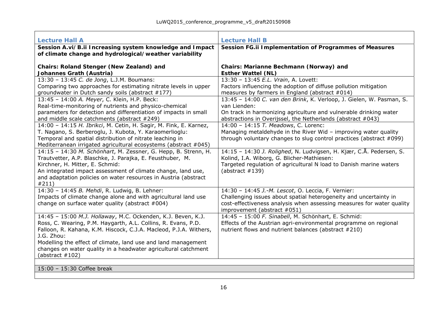| <b>Lecture Hall A</b>                                             | <b>Lecture Hall B</b>                                                 |
|-------------------------------------------------------------------|-----------------------------------------------------------------------|
| Session A.vi/B.ii Increasing system knowledge and Impact          | Session FG.ii Implementation of Programmes of Measures                |
| of climate change and hydrological/weather variability            |                                                                       |
|                                                                   |                                                                       |
| Chairs: Roland Stenger (New Zealand) and                          | Chairs: Marianne Bechmann (Norway) and                                |
| Johannes Grath (Austria)                                          | <b>Esther Wattel (NL)</b>                                             |
| 13:30 - 13:45 C. de Jong, L.J.M. Boumans:                         | 13:30 - 13:45 E.L. Vrain, A. Lovett:                                  |
| Comparing two approaches for estimating nitrate levels in upper   | Factors influencing the adoption of diffuse pollution mitigation      |
| groundwater in Dutch sandy soils (abstract #177)                  | measures by farmers in England (abstract #014)                        |
| 13:45 - 14:00 A. Meyer, C. Klein, H.P. Beck:                      | 13:45 - 14:00 C. van den Brink, K. Verloop, J. Gielen, W. Pasman, S.  |
| Real-time-monitoring of nutrients and physico-chemical            | van Lienden:                                                          |
| parameters for detection and differentiation of impacts in small  | On track in harmonizing agriculture and vulnerable drinking water     |
| and middle scale catchments (abstract #249)                       | abstractions in Overijssel, the Netherlands (abstract #043)           |
| 14:00 - 14:15 H. Ibrikci, M. Cetin, H. Sagir, M. Fink, E. Karnez, | 14:00 - 14:15 T. Meadows, C. Lorenc:                                  |
| T. Nagano, S. Berberoglu, J. Kubota, Y. Karaomerlioglu:           | Managing metaldehyde in the River Wid - improving water quality       |
| Temporal and spatial distribution of nitrate leaching in          | through voluntary changes to slug control practices (abstract #099)   |
| Mediterranean irrigated agricultural ecosystems (abstract #045)   |                                                                       |
| 14:15 - 14:30 M. Schönhart, M. Zessner, G. Hepp, B. Strenn, H.    | 14:15 - 14:30 J. Rolighed, N. Ludvigsen, H. Kjær, C.Å. Pedersen, S.   |
| Trautvetter, A.P. Blaschke, J. Parajka, E. Feusthuber, M.         | Kolind, I.A. Wiborg, G. Blicher-Mathiesen:                            |
| Kirchner, H. Mitter, E. Schmid:                                   | Targeted regulation of agricultural N load to Danish marine waters    |
| An integrated impact assessment of climate change, land use,      | (abstract $#139$ )                                                    |
| and adaptation policies on water resources in Austria (abstract   |                                                                       |
| #211)                                                             |                                                                       |
| 14:30 - 14:45 B. Mehdi, R. Ludwig, B. Lehner:                     | 14:30 - 14:45 J.-M. Lescot, O. Leccia, F. Vernier:                    |
| Impacts of climate change alone and with agricultural land use    | Challenging issues about spatial heterogeneity and uncertainty in     |
| change on surface water quality (abstract #004)                   | cost-effectiveness analysis when assessing measures for water quality |
|                                                                   | improvement (abstract #051)                                           |
| 14:45 - 15:00 M.J. Hollaway, M.C. Ockenden, K.J. Beven, K.J.      | 14:45 - 15:00 F. Sinabell, M. Schönhart, E. Schmid:                   |
| Ross, C. Wearing, P.M. Haygarth, A.L. Collins, R. Evans, P.D.     | Effects of the Austrian agri-environmental programme on regional      |
| Falloon, R. Kahana, K.M. Hiscock, C.J.A. Macleod, P.J.A. Withers, | nutrient flows and nutrient balances (abstract #210)                  |
| J.G. Zhou:                                                        |                                                                       |
| Modelling the effect of climate, land use and land management     |                                                                       |
| changes on water quality in a headwater agricultural catchment    |                                                                       |
| (abstract $#102$ )                                                |                                                                       |
|                                                                   |                                                                       |
| 15:00 - 15:30 Coffee break                                        |                                                                       |
|                                                                   |                                                                       |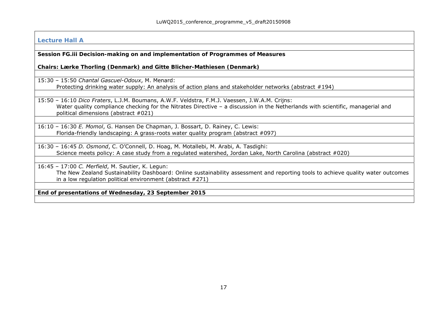#### **Lecture Hall A**

**Session FG.iii Decision-making on and implementation of Programmes of Measures** 

*Chairs: Lærke Thorling (Denmark) and Gitte Blicher-Mathiesen (Denmark)* 

15:30 – 15:50 *Chantal Gascuel-Odoux*, M. Menard: Protecting drinking water supply: An analysis of action plans and stakeholder networks (abstract #194)

15:50 – 16:10 *Dico Fraters*, L.J.M. Boumans, A.W.F. Veldstra, F.M.J. Vaessen, J.W.A.M. Crijns: Water quality compliance checking for the Nitrates Directive – a discussion in the Netherlands with scientific, managerial and political dimensions (abstract #021)

16:10 – 16:30 *E. Momol*, G. Hansen De Chapman, J. Bossart, D. Rainey, C. Lewis: Florida-friendly landscaping: A grass-roots water quality program (abstract #097)

16:30 – 16:45 *D. Osmond*, C. O'Connell, D. Hoag, M. Motallebi, M. Arabi, A. Tasdighi: Science meets policy: A case study from a regulated watershed, Jordan Lake, North Carolina (abstract #020)

16:45 – 17:00 *C. Merfield*, M. Sautier, K. Legun: The New Zealand Sustainability Dashboard: Online sustainability assessment and reporting tools to achieve quality water outcomes in a low regulation political environment (abstract #271)

**End of presentations of Wednesday, 23 September 2015**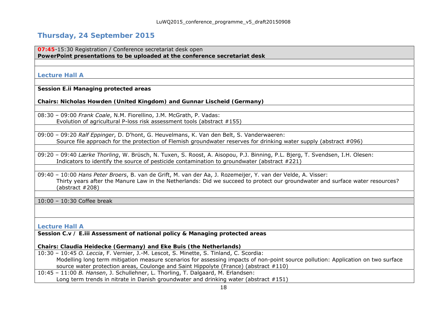#### **Thursday, 24 September 2015**

**07:45**-15:30 Registration / Conference secretariat desk open **PowerPoint presentations to be uploaded at the conference secretariat desk** 

**Lecture Hall A** 

**Session E.ii Managing protected areas** 

*Chairs: Nicholas Howden (United Kingdom) and Gunnar Lischeid (Germany)* 

08:30 – 09:00 *Frank Coale*, N.M. Fiorellino, J.M. McGrath, P. Vadas: Evolution of agricultural P-loss risk assessment tools (abstract #155)

09:00 – 09:20 *Ralf Eppinger*, D. D'hont, G. Heuvelmans, K. Van den Belt, S. Vanderwaeren: Source file approach for the protection of Flemish groundwater reserves for drinking water supply (abstract #096)

09:20 – 09:40 *Lærke Thorling*, W. Brüsch, N. Tuxen, S. Roost, A. Aisopou, P.J. Binning, P.L. Bjerg, T. Svendsen, I.H. Olesen: Indicators to identify the source of pesticide contamination to groundwater (abstract #221)

09:40 – 10:00 *Hans Peter Broers*, B. van de Grift, M. van der Aa, J. Rozemeijer, Y. van der Velde, A. Visser: Thirty years after the Manure Law in the Netherlands: Did we succeed to protect our groundwater and surface water resources? (abstract #208)

10:00 – 10:30 Coffee break

**Lecture Hall A** 

**Session C.v / E.iii Assessment of national policy & Managing protected areas** 

*Chairs: Claudia Heidecke (Germany) and Eke Buis (the Netherlands)* 

10:30 – 10:45 *O. Leccia*, F. Vernier, J.-M. Lescot, S. Minette, S. Tinland, C. Scordia: Modelling long term mitigation measure scenarios for assessing impacts of non-point source pollution: Application on two surface source water protection areas, Coulonge and Saint Hippolyte (France) (abstract #110)

10:45 – 11:00 *B. Hansen*, J. Schullehner, L. Thorling, T. Dalgaard, M. Erlandsen: Long term trends in nitrate in Danish groundwater and drinking water (abstract #151)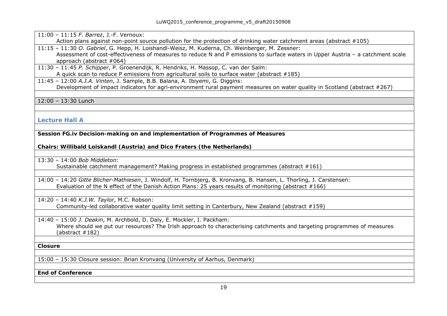11:00 – 11:15 *F. Barrez*, J.-F. Vernoux:

Action plans against non-point source pollution for the protection of drinking water catchment areas (abstract #105)

11:15 – 11:30 *O. Gabriel*, G. Hepp, H. Loishandl-Weisz, M. Kuderna, Ch. Weinberger, M. Zessner:

Assessment of cost-effectiveness of measures to reduce N and P emissions to surface waters in Upper Austria – a catchment scale approach (abstract #064)

11:30 – 11:45 *P. Schipper*, P. Groenendijk, R. Hendriks, H. Massop, C. van der Salm: A quick scan to reduce P emissions from agricultural soils to surface water (abstract #185)

11:45 – 12:00 *A.J.A. Vinten*, J. Sample, B.B. Balana, A. Ibiyemi, G. Diggins:

Development of impact indicators for agri-environment rural payment measures on water quality in Scotland (abstract #267)

12:00 – 13:30 Lunch

**Lecture Hall A** 

**Session FG.iv Decision-making on and implementation of Programmes of Measures** 

*Chairs: Willibald Loiskandl (Austria) and Dico Fraters (the Netherlands)* 

13:30 – 14:00 *Bob Middleton*: Sustainable catchment management? Making progress in established programmes (abstract #161)

14:00 – 14:20 *Gitte Blicher-Mathiesen*, J. Windolf, H. Tornbjerg, B. Kronvang, B. Hansen, L. Thorling, J. Carstensen: Evaluation of the N effect of the Danish Action Plans: 25 years results of monitoring (abstract #166)

14:20 – 14:40 *K.J.W. Taylor*, M.C. Robson: Community-led collaborative water quality limit setting in Canterbury, New Zealand (abstract #159)

14:40 – 15:00 *J. Deakin*, M. Archbold, D. Daly, E. Mockler, I. Packham: Where should we put our resources? The Irish approach to characterising catchments and targeting programmes of measures (abstract #182)

**Closure** 

15:00 – 15:30 Closure session: Brian Kronvang (University of Aarhus, Denmark)

**End of Conference**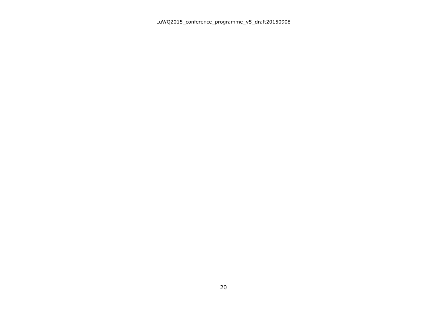LuWQ2015\_conference\_programme\_v5\_draft20150908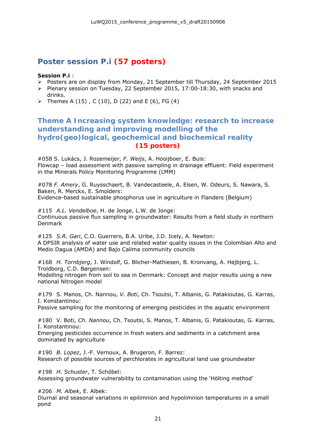### **Poster session P.i (57 posters)**

#### **Session P.i** :

- Posters are on display from Monday, 21 September till Thursday, 24 September 2015
- $\triangleright$  Plenary session on Tuesday, 22 September 2015, 17:00-18:30, with snacks and drinks.
- $\triangleright$  Themes A (15), C (10), D (22) and E (6), FG (4)

#### **Theme A Increasing system knowledge: research to increase understanding and improving modelling of the hydro(geo)logical, geochemical and biochemical reality (15 posters)**

#058 S. Lukács, J. Rozemeijer, *F. Weijs*, A. Hooijboer, E. Buis: Flowcap – load assessment with passive sampling in drainage effluent: Field experiment in the Minerals Policy Monitoring Programme (LMM)

#078 *F. Amery*, G. Ruysschaert, B. Vandecasteele, A. Elsen, W. Odeurs, S. Nawara, S. Baken, R. Merckx, E. Smolders: Evidence-based sustainable phosphorus use in agriculture in Flanders (Belgium)

#115 *A.L. Vendelboe*, H. de Jonge, L.W. de Jonge: Continuous passive flux sampling in groundwater: Results from a field study in northern Denmark

#125 *S.R. Gari*, C.O. Guerrero, B.A. Uribe, J.D. Icely, A. Newton: A DPSIR analysis of water use and related water quality issues in the Colombian Alto and Medio Dagua (AMDA) and Bajo Calima community councils

#168 *H. Tornbjerg*, J. Windolf, G. Blicher-Mathiesen, B. Kronvang, A. Højbjerg, L. Troldborg, C.D. Børgensen: Modelling nitrogen from soil to sea in Denmark: Concept and major results using a new national Nitrogen model

#179 S. Manos, Ch. Nannou, *V. Boti*, Ch. Tsoutsi, T. Albanis, G. Patakioutas, G. Karras, I. Konstantinou:

Passive sampling for the monitoring of emerging pesticides in the aquatic environment

#180 V. Boti, *Ch. Nannou*, Ch. Tsoutsi, S. Manos, T. Albanis, G. Patakioutas, G. Karras, I. Konstantinou:

Emerging pesticides occurrence in fresh waters and sediments in a catchment area dominated by agriculture

#190 *B. Lopez*, J.-F. Vernoux, A. Brugeron, F. Barrez: Research of possible sources of perchlorates in agricultural land use groundwater

#198 *H. Schuster*, T. Schöbel: Assessing groundwater vulnerability to contamination using the 'Hölting method'

#206 *M. Albek*, E. Albek:

Diurnal and seasonal variations in epilimnion and hypolimnion temperatures in a small pond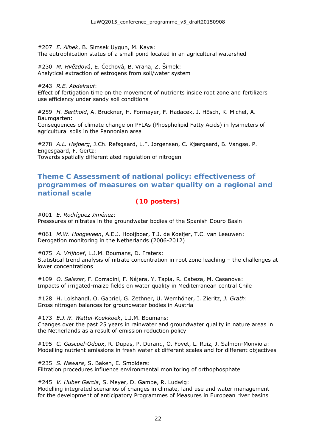#207 *E. Albek*, B. Simsek Uygun, M. Kaya: The eutrophication status of a small pond located in an agricultural watershed

#230 *M. Hvězdová*, E. Čechová, B. Vrana, Z. Šimek: Analytical extraction of estrogens from soil/water system

#243 *R.E. Abdelrauf*:

Effect of fertigation time on the movement of nutrients inside root zone and fertilizers use efficiency under sandy soil conditions

#259 *H. Berthold*, A. Bruckner, H. Formayer, F. Hadacek, J. Hösch, K. Michel, A. Baumgarten: Consequences of climate change on PFLAs (Phospholipid Fatty Acids) in lysimeters of agricultural soils in the Pannonian area

#278 *A.L. Højberg*, J.Ch. Refsgaard, L.F. Jørgensen, C. Kjærgaard, B. Vangsø, P. Engesgaard, F. Gertz: Towards spatially differentiated regulation of nitrogen

#### **Theme C Assessment of national policy: effectiveness of programmes of measures on water quality on a regional and national scale**

#### **(10 posters)**

#001 *E. Rodríguez Jiménez*:

Presssures of nitrates in the groundwater bodies of the Spanish Douro Basin

#061 *M.W. Hoogeveen*, A.E.J. Hooijboer, T.J. de Koeijer, T.C. van Leeuwen: Derogation monitoring in the Netherlands (2006-2012)

#075 *A. Vrijhoef*, L.J.M. Boumans, D. Fraters: Statistical trend analysis of nitrate concentration in root zone leaching – the challenges at lower concentrations

#109 *O. Salazar*, F. Corradini, F. Nájera, Y. Tapia, R. Cabeza, M. Casanova: Impacts of irrigated-maize fields on water quality in Mediterranean central Chile

#128 H. Loishandl, O. Gabriel, G. Zethner, U. Wemhöner, I. Zieritz, *J. Grath*: Gross nitrogen balances for groundwater bodies in Austria

#173 *E.J.W. Wattel-Koekkoek*, L.J.M. Boumans: Changes over the past 25 years in rainwater and groundwater quality in nature areas in the Netherlands as a result of emission reduction policy

#195 *C. Gascuel-Odoux*, R. Dupas, P. Durand, O. Fovet, L. Ruiz, J. Salmon-Monviola: Modelling nutrient emissions in fresh water at different scales and for different objectives

#235 *S. Nawara*, S. Baken, E. Smolders: Filtration procedures influence environmental monitoring of orthophosphate

#245 *V. Huber García*, S. Meyer, D. Gampe, R. Ludwig: Modelling integrated scenarios of changes in climate, land use and water management for the development of anticipatory Programmes of Measures in European river basins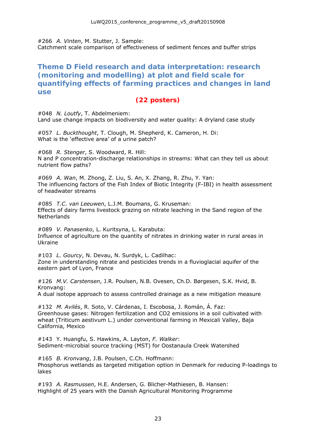#266 *A. Vinten*, M. Stutter, J. Sample:

Catchment scale comparison of effectiveness of sediment fences and buffer strips

#### **Theme D Field research and data interpretation: research (monitoring and modelling) at plot and field scale for quantifying effects of farming practices and changes in land use**

#### **(22 posters)**

#048 *N. Loutfy*, T. Abdelmeniem: Land use change impacts on biodiversity and water quality: A dryland case study

#057 *L. Buckthought*, T. Clough, M. Shepherd, K. Cameron, H. Di: What is the 'effective area' of a urine patch?

#068 *R. Stenger*, S. Woodward, R. Hill: N and P concentration-discharge relationships in streams: What can they tell us about nutrient flow paths?

#069 *A. Wan*, M. Zhong, Z. Liu, S. An, X. Zhang, R. Zhu, Y. Yan: The influencing factors of the Fish Index of Biotic Integrity (F-IBI) in health assessment of headwater streams

#085 *T.C. van Leeuwen*, L.J.M. Boumans, G. Kruseman: Effects of dairy farms livestock grazing on nitrate leaching in the Sand region of the **Netherlands** 

#089 *V. Panasenko*, L. Kuritsyna, L. Karabuta: Influence of agriculture on the quantity of nitrates in drinking water in rural areas in Ukraine

#103 *L. Gourcy*, N. Devau, N. Surdyk, L. Cadilhac: Zone in understanding nitrate and pesticides trends in a fluvioglacial aquifer of the eastern part of Lyon, France

#126 *M.V. Carstensen*, J.R. Poulsen, N.B. Ovesen, Ch.D. Børgesen, S.K. Hvid, B. Kronvang:

A dual isotope approach to assess controlled drainage as a new mitigation measure

#132 *M. Avilés*, R. Soto, V. Cárdenas, I. Escobosa, J. Román, Á. Faz: Greenhouse gases: Nitrogen fertilization and CO2 emissions in a soil cultivated with wheat (Triticum aestivum L.) under conventional farming in Mexicali Valley, Baja California, Mexico

#143 Y. Huangfu, S. Hawkins, A. Layton, *F. Walker*: Sediment-microbial source tracking (MST) for Oostanaula Creek Watershed

#165 *B. Kronvang*, J.B. Poulsen, C.Ch. Hoffmann: Phosphorus wetlands as targeted mitigation option in Denmark for reducing P-loadings to lakes

#193 *A. Rasmussen*, H.E. Andersen, G. Blicher-Mathiesen, B. Hansen: Highlight of 25 years with the Danish Agricultural Monitoring Programme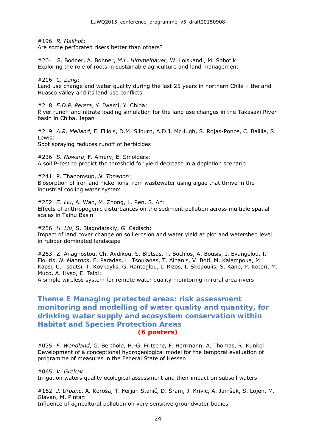#196 *R. Mailhot*: Are some perforated risers better than others?

#204 G. Bodner, A. Bohner, *M.L. Himmelbauer*, W. Loiskandl, M. Sobotik: Exploring the role of roots in sustainable agriculture and land management

#216 *C. Zang*: Land use change and water quality during the last 25 years in northern Chile – the arid Huasco valley and its land use conflicts

#218 *E.D.P. Perera*, Y. Iwami, Y. Chida: River runoff and nitrate loading simulation for the land use changes in the Takasaki River basin in Chiba, Japan

#219 *A.R. Melland*, E. Fillols, D.M. Silburn, A.D.J. McHugh, S. Rojas-Ponce, C. Baillie, S. Lewis: Spot spraying reduces runoff of herbicides

#236 *S. Nawara*, F. Amery, E. Smolders: A soil P-test to predict the threshold for yield decrease in a depletion scenario

#241 P. Thanomsup, *N. Tonanon*: Biosorption of iron and nickel ions from wastewater using algae that thrive in the industrial cooling water system

#252 *Z. Liu*, A. Wan, M. Zhong, L. Ren, S. An: Effects of anthropogenic disturbances on the sediment pollution across multiple spatial scales in Taihu Basin

#256 *H. Liu*, S. Blagodatskiy, G. Cadisch: Impact of land cover change on soil erosion and water yield at plot and watershed level in rubber dominated landscape

#263 Z. Anagnostou, Ch. Avdikou, S. Bletsas, T. Bochlos, A. Bousis, I. Evangelou, I. Flouris, *N. Manthos*, E. Paradas, L. Tsoulanas, T. Albanis, V. Boti, M. Kalampoka, M. Kapsi, C. Tsoutsi, T. Koykoylis, G. Rantoglou, I. Rizos, I. Skopoulis, S. Kane, P. Kotori, M. Muco, A. Hyso, E. Tsipi:

A simple wireless system for remote water quality monitoring in rural area rivers

#### **Theme E Managing protected areas: risk assessment monitoring and modelling of water quality and quantity, for drinking water supply and ecosystem conservation within Habitat and Species Protection Areas (6 posters)**

#035 *F. Wendland*, G. Berthold, H.-G. Fritsche, F. Herrmann, A. Thomas, R. Kunkel: Development of a conceptional hydrogeological model for the temporal evaluation of programme of measures in the Federal State of Hessen

#065 *V. Grekov*:

Irrigation waters quality ecological assessment and their impact on subsoil waters

#162 *J. Urbanc*, A. Koroša, T. Ferjan Stanič, D. Šram, J. Krivic, A. Jamšek, S. Lojen, M. Glavan, M. Pintar:

Influence of agricultural pollution on very sensitive groundwater bodies